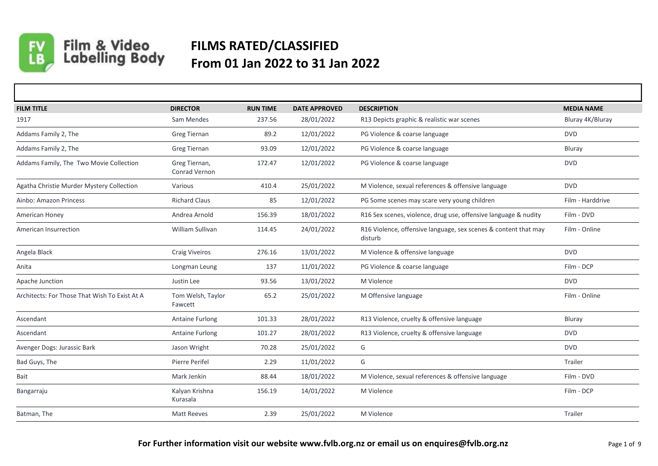

Film & Video<br>Labelling Body

## **FILMS RATED/CLASSIFIED From 01 Jan 2022 to 31 Jan 2022**

| <b>FILM TITLE</b>                             | <b>DIRECTOR</b>                       | <b>RUN TIME</b> | <b>DATE APPROVED</b> | <b>DESCRIPTION</b>                                                         | <b>MEDIA NAME</b> |
|-----------------------------------------------|---------------------------------------|-----------------|----------------------|----------------------------------------------------------------------------|-------------------|
| 1917                                          | Sam Mendes                            | 237.56          | 28/01/2022           | R13 Depicts graphic & realistic war scenes                                 | Bluray 4K/Bluray  |
| Addams Family 2, The                          | Greg Tiernan                          | 89.2            | 12/01/2022           | PG Violence & coarse language                                              | <b>DVD</b>        |
| Addams Family 2, The                          | Greg Tiernan                          | 93.09           | 12/01/2022           | PG Violence & coarse language                                              | Bluray            |
| Addams Family, The Two Movie Collection       | Greg Tiernan,<br><b>Conrad Vernon</b> | 172.47          | 12/01/2022           | PG Violence & coarse language                                              | <b>DVD</b>        |
| Agatha Christie Murder Mystery Collection     | Various                               | 410.4           | 25/01/2022           | M Violence, sexual references & offensive language                         | <b>DVD</b>        |
| Ainbo: Amazon Princess                        | <b>Richard Claus</b>                  | 85              | 12/01/2022           | PG Some scenes may scare very young children                               | Film - Harddrive  |
| American Honey                                | Andrea Arnold                         | 156.39          | 18/01/2022           | R16 Sex scenes, violence, drug use, offensive language & nudity            | Film - DVD        |
| American Insurrection                         | William Sullivan                      | 114.45          | 24/01/2022           | R16 Violence, offensive language, sex scenes & content that may<br>disturb | Film - Online     |
| Angela Black                                  | <b>Craig Viveiros</b>                 | 276.16          | 13/01/2022           | M Violence & offensive language                                            | <b>DVD</b>        |
| Anita                                         | Longman Leung                         | 137             | 11/01/2022           | PG Violence & coarse language                                              | Film - DCP        |
| Apache Junction                               | Justin Lee                            | 93.56           | 13/01/2022           | M Violence                                                                 | <b>DVD</b>        |
| Architects: For Those That Wish To Exist At A | Tom Welsh, Taylor<br>Fawcett          | 65.2            | 25/01/2022           | M Offensive language                                                       | Film - Online     |
| Ascendant                                     | Antaine Furlong                       | 101.33          | 28/01/2022           | R13 Violence, cruelty & offensive language                                 | Bluray            |
| Ascendant                                     | <b>Antaine Furlong</b>                | 101.27          | 28/01/2022           | R13 Violence, cruelty & offensive language                                 | <b>DVD</b>        |
| Avenger Dogs: Jurassic Bark                   | Jason Wright                          | 70.28           | 25/01/2022           | G                                                                          | <b>DVD</b>        |
| Bad Guys, The                                 | Pierre Perifel                        | 2.29            | 11/01/2022           | G                                                                          | Trailer           |
| Bait                                          | Mark Jenkin                           | 88.44           | 18/01/2022           | M Violence, sexual references & offensive language                         | Film - DVD        |
| Bangarraju                                    | Kalyan Krishna<br>Kurasala            | 156.19          | 14/01/2022           | M Violence                                                                 | Film - DCP        |
| Batman, The                                   | <b>Matt Reeves</b>                    | 2.39            | 25/01/2022           | M Violence                                                                 | Trailer           |
|                                               |                                       |                 |                      |                                                                            |                   |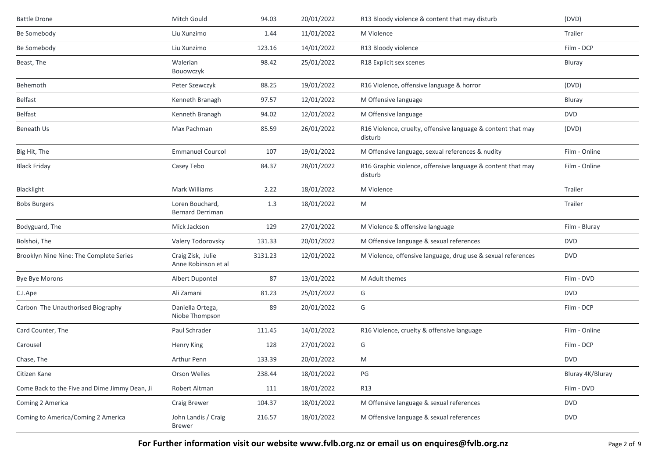| <b>Battle Drone</b>                           | Mitch Gould                                | 94.03   | 20/01/2022 | R13 Bloody violence & content that may disturb                          | (DVD)            |
|-----------------------------------------------|--------------------------------------------|---------|------------|-------------------------------------------------------------------------|------------------|
| Be Somebody                                   | Liu Xunzimo                                | 1.44    | 11/01/2022 | M Violence                                                              | Trailer          |
| Be Somebody                                   | Liu Xunzimo                                | 123.16  | 14/01/2022 | R13 Bloody violence                                                     | Film - DCP       |
| Beast, The                                    | Walerian<br>Bouowczyk                      | 98.42   | 25/01/2022 | R18 Explicit sex scenes                                                 | Bluray           |
| Behemoth                                      | Peter Szewczyk                             | 88.25   | 19/01/2022 | R16 Violence, offensive language & horror                               | (DVD)            |
| Belfast                                       | Kenneth Branagh                            | 97.57   | 12/01/2022 | M Offensive language                                                    | Bluray           |
| Belfast                                       | Kenneth Branagh                            | 94.02   | 12/01/2022 | M Offensive language                                                    | <b>DVD</b>       |
| Beneath Us                                    | Max Pachman                                | 85.59   | 26/01/2022 | R16 Violence, cruelty, offensive language & content that may<br>disturb | (DVD)            |
| Big Hit, The                                  | <b>Emmanuel Courcol</b>                    | 107     | 19/01/2022 | M Offensive language, sexual references & nudity                        | Film - Online    |
| <b>Black Friday</b>                           | Casey Tebo                                 | 84.37   | 28/01/2022 | R16 Graphic violence, offensive language & content that may<br>disturb  | Film - Online    |
| Blacklight                                    | Mark Williams                              | 2.22    | 18/01/2022 | M Violence                                                              | Trailer          |
| <b>Bobs Burgers</b>                           | Loren Bouchard,<br><b>Bernard Derriman</b> | 1.3     | 18/01/2022 | M                                                                       | Trailer          |
| Bodyguard, The                                | Mick Jackson                               | 129     | 27/01/2022 | M Violence & offensive language                                         | Film - Bluray    |
| Bolshoi, The                                  | Valery Todorovsky                          | 131.33  | 20/01/2022 | M Offensive language & sexual references                                | <b>DVD</b>       |
| Brooklyn Nine Nine: The Complete Series       | Craig Zisk, Julie<br>Anne Robinson et al   | 3131.23 | 12/01/2022 | M Violence, offensive language, drug use & sexual references            | <b>DVD</b>       |
| Bye Bye Morons                                | Albert Dupontel                            | 87      | 13/01/2022 | M Adult themes                                                          | Film - DVD       |
| C.I.Ape                                       | Ali Zamani                                 | 81.23   | 25/01/2022 | G                                                                       | <b>DVD</b>       |
| Carbon The Unauthorised Biography             | Daniella Ortega,<br>Niobe Thompson         | 89      | 20/01/2022 | G                                                                       | Film - DCP       |
| Card Counter, The                             | Paul Schrader                              | 111.45  | 14/01/2022 | R16 Violence, cruelty & offensive language                              | Film - Online    |
| Carousel                                      | Henry King                                 | 128     | 27/01/2022 | G                                                                       | Film - DCP       |
| Chase, The                                    | Arthur Penn                                | 133.39  | 20/01/2022 | M                                                                       | <b>DVD</b>       |
| Citizen Kane                                  | Orson Welles                               | 238.44  | 18/01/2022 | PG                                                                      | Bluray 4K/Bluray |
| Come Back to the Five and Dime Jimmy Dean, Ji | Robert Altman                              | 111     | 18/01/2022 | R13                                                                     | Film - DVD       |
| Coming 2 America                              | Craig Brewer                               | 104.37  | 18/01/2022 | M Offensive language & sexual references                                | <b>DVD</b>       |
| Coming to America/Coming 2 America            | John Landis / Craig<br><b>Brewer</b>       | 216.57  | 18/01/2022 | M Offensive language & sexual references                                | <b>DVD</b>       |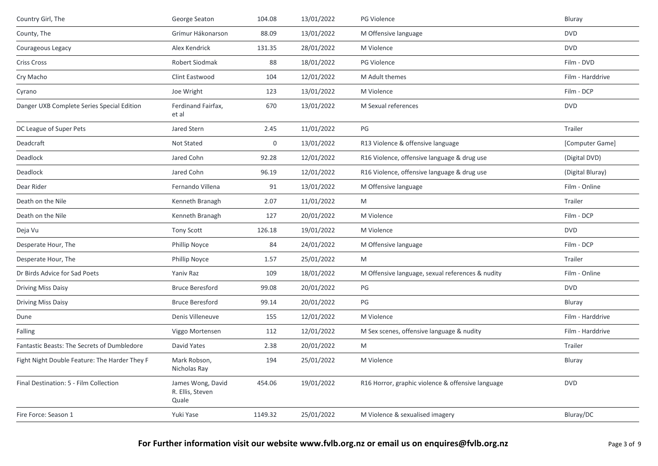| Country Girl, The                             | George Seaton                                  | 104.08           | 13/01/2022 | PG Violence                                       | Bluray           |
|-----------------------------------------------|------------------------------------------------|------------------|------------|---------------------------------------------------|------------------|
| County, The                                   | Grímur Hákonarson                              | 88.09            | 13/01/2022 | M Offensive language                              | <b>DVD</b>       |
| Courageous Legacy                             | Alex Kendrick                                  | 131.35           | 28/01/2022 | M Violence                                        | <b>DVD</b>       |
| <b>Criss Cross</b>                            | Robert Siodmak                                 | 88               | 18/01/2022 | PG Violence                                       | Film - DVD       |
| Cry Macho                                     | Clint Eastwood                                 | 104              | 12/01/2022 | M Adult themes                                    | Film - Harddrive |
| Cyrano                                        | Joe Wright                                     | 123              | 13/01/2022 | M Violence                                        | Film - DCP       |
| Danger UXB Complete Series Special Edition    | Ferdinand Fairfax,<br>et al                    | 670              | 13/01/2022 | M Sexual references                               | <b>DVD</b>       |
| DC League of Super Pets                       | Jared Stern                                    | 2.45             | 11/01/2022 | PG                                                | Trailer          |
| Deadcraft                                     | Not Stated                                     | $\boldsymbol{0}$ | 13/01/2022 | R13 Violence & offensive language                 | [Computer Game]  |
| Deadlock                                      | Jared Cohn                                     | 92.28            | 12/01/2022 | R16 Violence, offensive language & drug use       | (Digital DVD)    |
| Deadlock                                      | Jared Cohn                                     | 96.19            | 12/01/2022 | R16 Violence, offensive language & drug use       | (Digital Bluray) |
| Dear Rider                                    | Fernando Villena                               | 91               | 13/01/2022 | M Offensive language                              | Film - Online    |
| Death on the Nile                             | Kenneth Branagh                                | 2.07             | 11/01/2022 | M                                                 | Trailer          |
| Death on the Nile                             | Kenneth Branagh                                | 127              | 20/01/2022 | M Violence                                        | Film - DCP       |
| Deja Vu                                       | Tony Scott                                     | 126.18           | 19/01/2022 | M Violence                                        | <b>DVD</b>       |
| Desperate Hour, The                           | <b>Phillip Noyce</b>                           | 84               | 24/01/2022 | M Offensive language                              | Film - DCP       |
| Desperate Hour, The                           | <b>Phillip Noyce</b>                           | 1.57             | 25/01/2022 | M                                                 | Trailer          |
| Dr Birds Advice for Sad Poets                 | Yaniy Raz                                      | 109              | 18/01/2022 | M Offensive language, sexual references & nudity  | Film - Online    |
| <b>Driving Miss Daisy</b>                     | <b>Bruce Beresford</b>                         | 99.08            | 20/01/2022 | PG                                                | <b>DVD</b>       |
| <b>Driving Miss Daisy</b>                     | <b>Bruce Beresford</b>                         | 99.14            | 20/01/2022 | PG                                                | Bluray           |
| Dune                                          | Denis Villeneuve                               | 155              | 12/01/2022 | M Violence                                        | Film - Harddrive |
| Falling                                       | Viggo Mortensen                                | 112              | 12/01/2022 | M Sex scenes, offensive language & nudity         | Film - Harddrive |
| Fantastic Beasts: The Secrets of Dumbledore   | David Yates                                    | 2.38             | 20/01/2022 | M                                                 | Trailer          |
| Fight Night Double Feature: The Harder They F | Mark Robson,<br>Nicholas Ray                   | 194              | 25/01/2022 | M Violence                                        | Bluray           |
| Final Destination: 5 - Film Collection        | James Wong, David<br>R. Ellis, Steven<br>Quale | 454.06           | 19/01/2022 | R16 Horror, graphic violence & offensive language | <b>DVD</b>       |
| Fire Force: Season 1                          | Yuki Yase                                      | 1149.32          | 25/01/2022 | M Violence & sexualised imagery                   | Bluray/DC        |
|                                               |                                                |                  |            |                                                   |                  |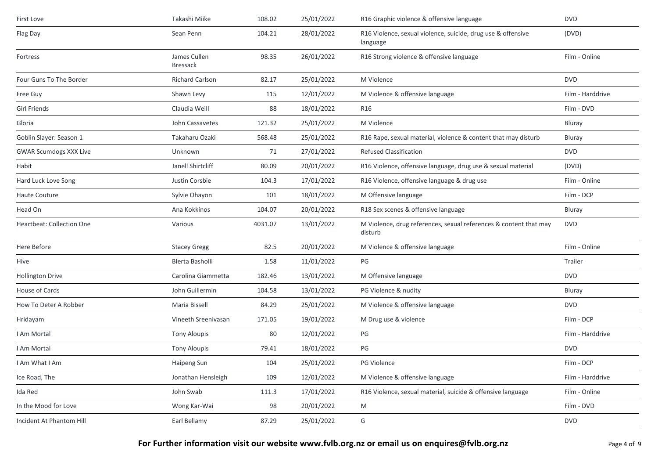| First Love                       | Takashi Miike                   | 108.02  | 25/01/2022 | R16 Graphic violence & offensive language                                    | <b>DVD</b>       |
|----------------------------------|---------------------------------|---------|------------|------------------------------------------------------------------------------|------------------|
| Flag Day                         | Sean Penn                       | 104.21  | 28/01/2022 | R16 Violence, sexual violence, suicide, drug use & offensive<br>language     | (DVD)            |
| Fortress                         | James Cullen<br><b>Bressack</b> | 98.35   | 26/01/2022 | R16 Strong violence & offensive language                                     | Film - Online    |
| Four Guns To The Border          | Richard Carlson                 | 82.17   | 25/01/2022 | M Violence                                                                   | <b>DVD</b>       |
| Free Guy                         | Shawn Levy                      | 115     | 12/01/2022 | M Violence & offensive language                                              | Film - Harddrive |
| Girl Friends                     | Claudia Weill                   | 88      | 18/01/2022 | R <sub>16</sub>                                                              | Film - DVD       |
| Gloria                           | John Cassavetes                 | 121.32  | 25/01/2022 | M Violence                                                                   | <b>Bluray</b>    |
| Goblin Slayer: Season 1          | Takaharu Ozaki                  | 568.48  | 25/01/2022 | R16 Rape, sexual material, violence & content that may disturb               | Bluray           |
| <b>GWAR Scumdogs XXX Live</b>    | Unknown                         | 71      | 27/01/2022 | <b>Refused Classification</b>                                                | <b>DVD</b>       |
| Habit                            | Janell Shirtcliff               | 80.09   | 20/01/2022 | R16 Violence, offensive language, drug use & sexual material                 | (DVD)            |
| Hard Luck Love Song              | Justin Corsbie                  | 104.3   | 17/01/2022 | R16 Violence, offensive language & drug use                                  | Film - Online    |
| Haute Couture                    | Sylvie Ohayon                   | 101     | 18/01/2022 | M Offensive language                                                         | Film - DCP       |
| Head On                          | Ana Kokkinos                    | 104.07  | 20/01/2022 | R18 Sex scenes & offensive language                                          | Bluray           |
| <b>Heartbeat: Collection One</b> | Various                         | 4031.07 | 13/01/2022 | M Violence, drug references, sexual references & content that may<br>disturb | <b>DVD</b>       |
| Here Before                      | <b>Stacey Gregg</b>             | 82.5    | 20/01/2022 | M Violence & offensive language                                              | Film - Online    |
| Hive                             | Blerta Basholli                 | 1.58    | 11/01/2022 | PG                                                                           | Trailer          |
| <b>Hollington Drive</b>          | Carolina Giammetta              | 182.46  | 13/01/2022 | M Offensive language                                                         | <b>DVD</b>       |
| House of Cards                   | John Guillermin                 | 104.58  | 13/01/2022 | PG Violence & nudity                                                         | Bluray           |
| How To Deter A Robber            | Maria Bissell                   | 84.29   | 25/01/2022 | M Violence & offensive language                                              | <b>DVD</b>       |
| Hridayam                         | Vineeth Sreenivasan             | 171.05  | 19/01/2022 | M Drug use & violence                                                        | Film - DCP       |
| I Am Mortal                      | <b>Tony Aloupis</b>             | 80      | 12/01/2022 | $\mathsf{PG}$                                                                | Film - Harddrive |
| I Am Mortal                      | <b>Tony Aloupis</b>             | 79.41   | 18/01/2022 | PG                                                                           | <b>DVD</b>       |
| I Am What I Am                   | Haipeng Sun                     | 104     | 25/01/2022 | <b>PG Violence</b>                                                           | Film - DCP       |
| Ice Road, The                    | Jonathan Hensleigh              | 109     | 12/01/2022 | M Violence & offensive language                                              | Film - Harddrive |
| Ida Red                          | John Swab                       | 111.3   | 17/01/2022 | R16 Violence, sexual material, suicide & offensive language                  | Film - Online    |
| In the Mood for Love             | Wong Kar-Wai                    | 98      | 20/01/2022 | M                                                                            | Film - DVD       |
| Incident At Phantom Hill         | Earl Bellamy                    | 87.29   | 25/01/2022 | G                                                                            | <b>DVD</b>       |
|                                  |                                 |         |            |                                                                              |                  |

**For Further information visit our website www.fvlb.org.nz or email us on enquires@fvlb.org.nz** Page 4 of 9 Page 4 of 9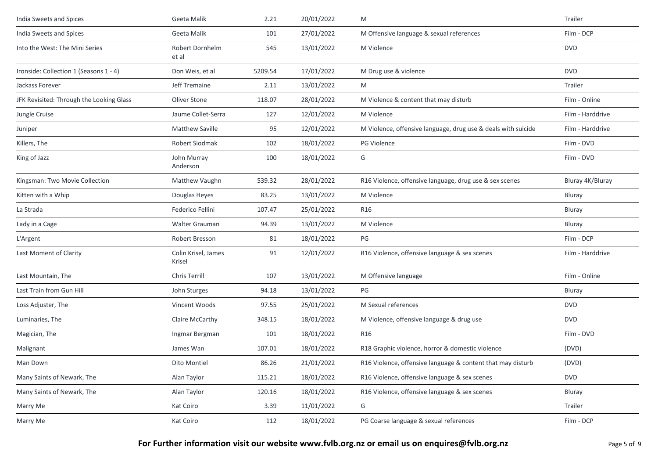| India Sweets and Spices                  | Geeta Malik                   | 2.21    | 20/01/2022 | M                                                             | Trailer          |
|------------------------------------------|-------------------------------|---------|------------|---------------------------------------------------------------|------------------|
| India Sweets and Spices                  | Geeta Malik                   | 101     | 27/01/2022 | M Offensive language & sexual references                      | Film - DCP       |
| Into the West: The Mini Series           | Robert Dornhelm<br>et al      | 545     | 13/01/2022 | M Violence                                                    | <b>DVD</b>       |
| Ironside: Collection 1 (Seasons 1 - 4)   | Don Weis, et al               | 5209.54 | 17/01/2022 | M Drug use & violence                                         | <b>DVD</b>       |
| Jackass Forever                          | Jeff Tremaine                 | 2.11    | 13/01/2022 | M                                                             | Trailer          |
| JFK Revisited: Through the Looking Glass | Oliver Stone                  | 118.07  | 28/01/2022 | M Violence & content that may disturb                         | Film - Online    |
| Jungle Cruise                            | Jaume Collet-Serra            | 127     | 12/01/2022 | M Violence                                                    | Film - Harddrive |
| Juniper                                  | Matthew Saville               | 95      | 12/01/2022 | M Violence, offensive language, drug use & deals with suicide | Film - Harddrive |
| Killers, The                             | Robert Siodmak                | 102     | 18/01/2022 | PG Violence                                                   | Film - DVD       |
| King of Jazz                             | John Murray<br>Anderson       | 100     | 18/01/2022 | G                                                             | Film - DVD       |
| Kingsman: Two Movie Collection           | Matthew Vaughn                | 539.32  | 28/01/2022 | R16 Violence, offensive language, drug use & sex scenes       | Bluray 4K/Bluray |
| Kitten with a Whip                       | Douglas Heyes                 | 83.25   | 13/01/2022 | M Violence                                                    | Bluray           |
| La Strada                                | Federico Fellini              | 107.47  | 25/01/2022 | R16                                                           | Bluray           |
| Lady in a Cage                           | Walter Grauman                | 94.39   | 13/01/2022 | M Violence                                                    | Bluray           |
| L'Argent                                 | Robert Bresson                | 81      | 18/01/2022 | PG                                                            | Film - DCP       |
| Last Moment of Clarity                   | Colin Krisel, James<br>Krisel | 91      | 12/01/2022 | R16 Violence, offensive language & sex scenes                 | Film - Harddrive |
| Last Mountain, The                       | Chris Terrill                 | 107     | 13/01/2022 | M Offensive language                                          | Film - Online    |
| Last Train from Gun Hill                 | John Sturges                  | 94.18   | 13/01/2022 | PG                                                            | <b>Bluray</b>    |
| Loss Adjuster, The                       | Vincent Woods                 | 97.55   | 25/01/2022 | M Sexual references                                           | <b>DVD</b>       |
| Luminaries, The                          | Claire McCarthy               | 348.15  | 18/01/2022 | M Violence, offensive language & drug use                     | <b>DVD</b>       |
| Magician, The                            | Ingmar Bergman                | 101     | 18/01/2022 | R16                                                           | Film - DVD       |
| Malignant                                | James Wan                     | 107.01  | 18/01/2022 | R18 Graphic violence, horror & domestic violence              | (DVD)            |
| Man Down                                 | Dito Montiel                  | 86.26   | 21/01/2022 | R16 Violence, offensive language & content that may disturb   | (DVD)            |
| Many Saints of Newark, The               | Alan Taylor                   | 115.21  | 18/01/2022 | R16 Violence, offensive language & sex scenes                 | <b>DVD</b>       |
| Many Saints of Newark, The               | Alan Taylor                   | 120.16  | 18/01/2022 | R16 Violence, offensive language & sex scenes                 | Bluray           |
| Marry Me                                 | Kat Coiro                     | 3.39    | 11/01/2022 | G                                                             | Trailer          |
| Marry Me                                 | Kat Coiro                     | 112     | 18/01/2022 | PG Coarse language & sexual references                        | Film - DCP       |
|                                          |                               |         |            |                                                               |                  |

**For Further information visit our website www.fvlb.org.nz or email us on enquires@fvlb.org.nz** Page 5 of 9 Page 5 of 9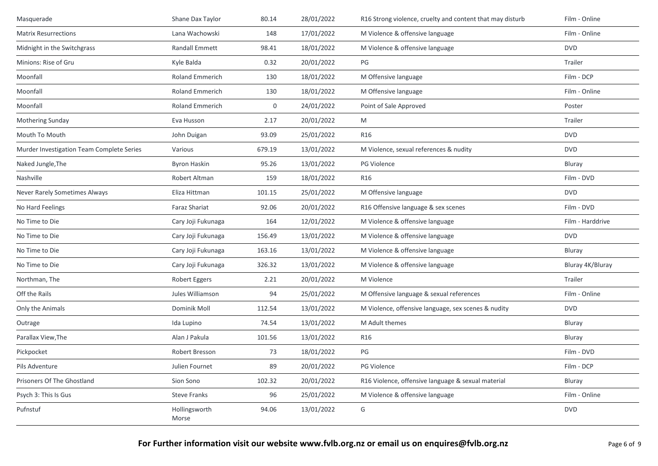| Masquerade                                | Shane Dax Taylor       | 80.14  | 28/01/2022 | R16 Strong violence, cruelty and content that may disturb | Film - Online    |
|-------------------------------------------|------------------------|--------|------------|-----------------------------------------------------------|------------------|
| <b>Matrix Resurrections</b>               | Lana Wachowski         | 148    | 17/01/2022 | M Violence & offensive language                           | Film - Online    |
| Midnight in the Switchgrass               | <b>Randall Emmett</b>  | 98.41  | 18/01/2022 | M Violence & offensive language                           | <b>DVD</b>       |
| Minions: Rise of Gru                      | Kyle Balda             | 0.32   | 20/01/2022 | PG                                                        | Trailer          |
| Moonfall                                  | Roland Emmerich        | 130    | 18/01/2022 | M Offensive language                                      | Film - DCP       |
| Moonfall                                  | <b>Roland Emmerich</b> | 130    | 18/01/2022 | M Offensive language                                      | Film - Online    |
| Moonfall                                  | <b>Roland Emmerich</b> | 0      | 24/01/2022 | Point of Sale Approved                                    | Poster           |
| Mothering Sunday                          | Eva Husson             | 2.17   | 20/01/2022 | M                                                         | Trailer          |
| Mouth To Mouth                            | John Duigan            | 93.09  | 25/01/2022 | <b>R16</b>                                                | <b>DVD</b>       |
| Murder Investigation Team Complete Series | Various                | 679.19 | 13/01/2022 | M Violence, sexual references & nudity                    | <b>DVD</b>       |
| Naked Jungle, The                         | <b>Byron Haskin</b>    | 95.26  | 13/01/2022 | PG Violence                                               | Bluray           |
| Nashville                                 | Robert Altman          | 159    | 18/01/2022 | <b>R16</b>                                                | Film - DVD       |
| Never Rarely Sometimes Always             | Eliza Hittman          | 101.15 | 25/01/2022 | M Offensive language                                      | <b>DVD</b>       |
| No Hard Feelings                          | <b>Faraz Shariat</b>   | 92.06  | 20/01/2022 | R16 Offensive language & sex scenes                       | Film - DVD       |
| No Time to Die                            | Cary Joji Fukunaga     | 164    | 12/01/2022 | M Violence & offensive language                           | Film - Harddrive |
| No Time to Die                            | Cary Joji Fukunaga     | 156.49 | 13/01/2022 | M Violence & offensive language                           | <b>DVD</b>       |
| No Time to Die                            | Cary Joji Fukunaga     | 163.16 | 13/01/2022 | M Violence & offensive language                           | Bluray           |
| No Time to Die                            | Cary Joji Fukunaga     | 326.32 | 13/01/2022 | M Violence & offensive language                           | Bluray 4K/Bluray |
| Northman, The                             | Robert Eggers          | 2.21   | 20/01/2022 | M Violence                                                | Trailer          |
| Off the Rails                             | Jules Williamson       | 94     | 25/01/2022 | M Offensive language & sexual references                  | Film - Online    |
| Only the Animals                          | Dominik Moll           | 112.54 | 13/01/2022 | M Violence, offensive language, sex scenes & nudity       | <b>DVD</b>       |
| Outrage                                   | Ida Lupino             | 74.54  | 13/01/2022 | M Adult themes                                            | Bluray           |
| Parallax View, The                        | Alan J Pakula          | 101.56 | 13/01/2022 | R16                                                       | Bluray           |
| Pickpocket                                | Robert Bresson         | 73     | 18/01/2022 | PG                                                        | Film - DVD       |
| Pils Adventure                            | Julien Fournet         | 89     | 20/01/2022 | PG Violence                                               | Film - DCP       |
| Prisoners Of The Ghostland                | Sion Sono              | 102.32 | 20/01/2022 | R16 Violence, offensive language & sexual material        | Bluray           |
| Psych 3: This Is Gus                      | <b>Steve Franks</b>    | 96     | 25/01/2022 | M Violence & offensive language                           | Film - Online    |
| Pufnstuf                                  | Hollingsworth<br>Morse | 94.06  | 13/01/2022 | G                                                         | <b>DVD</b>       |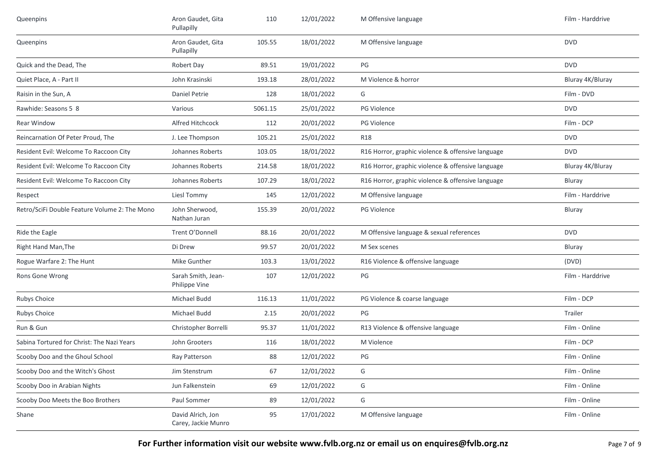| Queenpins                                     | Aron Gaudet, Gita<br>Pullapilly          | 110     | 12/01/2022 | M Offensive language                              | Film - Harddrive |
|-----------------------------------------------|------------------------------------------|---------|------------|---------------------------------------------------|------------------|
| Queenpins                                     | Aron Gaudet, Gita<br>Pullapilly          | 105.55  | 18/01/2022 | M Offensive language                              | <b>DVD</b>       |
| Quick and the Dead, The                       | Robert Day                               | 89.51   | 19/01/2022 | PG                                                | <b>DVD</b>       |
| Quiet Place, A - Part II                      | John Krasinski                           | 193.18  | 28/01/2022 | M Violence & horror                               | Bluray 4K/Bluray |
| Raisin in the Sun, A                          | <b>Daniel Petrie</b>                     | 128     | 18/01/2022 | G                                                 | Film - DVD       |
| Rawhide: Seasons 5 8                          | Various                                  | 5061.15 | 25/01/2022 | PG Violence                                       | <b>DVD</b>       |
| Rear Window                                   | Alfred Hitchcock                         | 112     | 20/01/2022 | <b>PG Violence</b>                                | Film - DCP       |
| Reincarnation Of Peter Proud, The             | J. Lee Thompson                          | 105.21  | 25/01/2022 | <b>R18</b>                                        | <b>DVD</b>       |
| Resident Evil: Welcome To Raccoon City        | Johannes Roberts                         | 103.05  | 18/01/2022 | R16 Horror, graphic violence & offensive language | <b>DVD</b>       |
| Resident Evil: Welcome To Raccoon City        | Johannes Roberts                         | 214.58  | 18/01/2022 | R16 Horror, graphic violence & offensive language | Bluray 4K/Bluray |
| Resident Evil: Welcome To Raccoon City        | Johannes Roberts                         | 107.29  | 18/01/2022 | R16 Horror, graphic violence & offensive language | Bluray           |
| Respect                                       | Liesl Tommy                              | 145     | 12/01/2022 | M Offensive language                              | Film - Harddrive |
| Retro/SciFi Double Feature Volume 2: The Mono | John Sherwood,<br>Nathan Juran           | 155.39  | 20/01/2022 | PG Violence                                       | Bluray           |
| Ride the Eagle                                | Trent O'Donnell                          | 88.16   | 20/01/2022 | M Offensive language & sexual references          | <b>DVD</b>       |
| Right Hand Man, The                           | Di Drew                                  | 99.57   | 20/01/2022 | M Sex scenes                                      | Bluray           |
| Rogue Warfare 2: The Hunt                     | Mike Gunther                             | 103.3   | 13/01/2022 | R16 Violence & offensive language                 | (DVD)            |
| Rons Gone Wrong                               | Sarah Smith, Jean-<br>Philippe Vine      | 107     | 12/01/2022 | PG                                                | Film - Harddrive |
| Rubys Choice                                  | Michael Budd                             | 116.13  | 11/01/2022 | PG Violence & coarse language                     | Film - DCP       |
| Rubys Choice                                  | Michael Budd                             | 2.15    | 20/01/2022 | PG                                                | Trailer          |
| Run & Gun                                     | Christopher Borrelli                     | 95.37   | 11/01/2022 | R13 Violence & offensive language                 | Film - Online    |
| Sabina Tortured for Christ: The Nazi Years    | John Grooters                            | 116     | 18/01/2022 | M Violence                                        | Film - DCP       |
| Scooby Doo and the Ghoul School               | Ray Patterson                            | 88      | 12/01/2022 | PG                                                | Film - Online    |
| Scooby Doo and the Witch's Ghost              | Jim Stenstrum                            | 67      | 12/01/2022 | G                                                 | Film - Online    |
| Scooby Doo in Arabian Nights                  | Jun Falkenstein                          | 69      | 12/01/2022 | G                                                 | Film - Online    |
| Scooby Doo Meets the Boo Brothers             | Paul Sommer                              | 89      | 12/01/2022 | G                                                 | Film - Online    |
| Shane                                         | David Alrich, Jon<br>Carey, Jackie Munro | 95      | 17/01/2022 | M Offensive language                              | Film - Online    |

**For Further information visit our website www.fvlb.org.nz or email us on enquires@fvlb.org.nz** Page 7 of 9 Page 7 of 9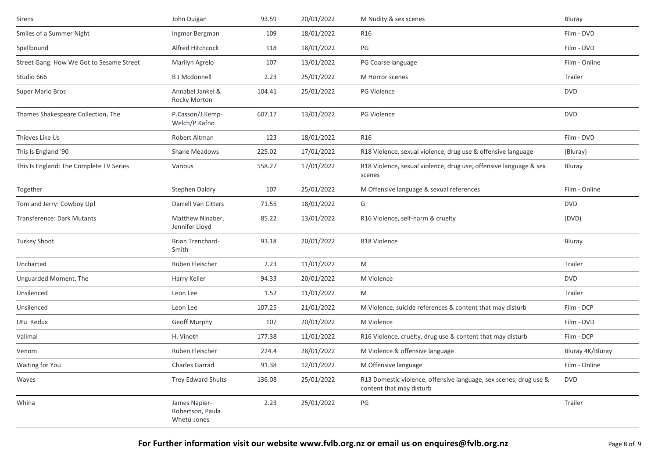| Sirens                                   | John Duigan                                      | 93.59  | 20/01/2022 | M Nudity & sex scenes                                                                         | Bluray           |
|------------------------------------------|--------------------------------------------------|--------|------------|-----------------------------------------------------------------------------------------------|------------------|
| Smiles of a Summer Night                 | Ingmar Bergman                                   | 109    | 18/01/2022 | R16                                                                                           | Film - DVD       |
| Spellbound                               | Alfred Hitchcock                                 | 118    | 18/01/2022 | PG                                                                                            | Film - DVD       |
| Street Gang: How We Got to Sesame Street | Marilyn Agrelo                                   | 107    | 13/01/2022 | PG Coarse language                                                                            | Film - Online    |
| Studio 666                               | <b>B J Mcdonnell</b>                             | 2.23   | 25/01/2022 | M Horror scenes                                                                               | Trailer          |
| Super Mario Bros                         | Annabel Jankel &<br>Rocky Morton                 | 104.41 | 25/01/2022 | <b>PG Violence</b>                                                                            | <b>DVD</b>       |
| Thames Shakespeare Collection, The       | P.Casson/J.Kemp-<br>Welch/P.Kafno                | 607.17 | 13/01/2022 | PG Violence                                                                                   | <b>DVD</b>       |
| Thieves Like Us                          | Robert Altman                                    | 123    | 18/01/2022 | R16                                                                                           | Film - DVD       |
| This Is England '90                      | Shane Meadows                                    | 225.02 | 17/01/2022 | R18 Violence, sexual violence, drug use & offensive language                                  | (Bluray)         |
| This Is England: The Complete TV Series  | Various                                          | 558.27 | 17/01/2022 | R18 Violence, sexual violence, drug use, offensive language & sex<br>scenes                   | Bluray           |
| Together                                 | Stephen Daldry                                   | 107    | 25/01/2022 | M Offensive language & sexual references                                                      | Film - Online    |
| Tom and Jerry: Cowboy Up!                | Darrell Van Citters                              | 71.55  | 18/01/2022 | G                                                                                             | <b>DVD</b>       |
| Transference: Dark Mutants               | Matthew Ninaber,<br>Jennifer Lloyd               | 85.22  | 13/01/2022 | R16 Violence, self-harm & cruelty                                                             | (DVD)            |
| <b>Turkey Shoot</b>                      | Brian Trenchard-<br>Smith                        | 93.18  | 20/01/2022 | R18 Violence                                                                                  | Bluray           |
| Uncharted                                | Ruben Fleischer                                  | 2.23   | 11/01/2022 | M                                                                                             | Trailer          |
| Unguarded Moment, The                    | Harry Keller                                     | 94.33  | 20/01/2022 | M Violence                                                                                    | <b>DVD</b>       |
| Unsilenced                               | Leon Lee                                         | 1.52   | 11/01/2022 | M                                                                                             | Trailer          |
| Unsilenced                               | Leon Lee                                         | 107.25 | 21/01/2022 | M Violence, suicide references & content that may disturb                                     | Film - DCP       |
| Utu Redux                                | Geoff Murphy                                     | 107    | 20/01/2022 | M Violence                                                                                    | Film - DVD       |
| Valimai                                  | H. Vinoth                                        | 177.38 | 11/01/2022 | R16 Violence, cruelty, drug use & content that may disturb                                    | Film - DCP       |
| Venom                                    | Ruben Fleischer                                  | 224.4  | 28/01/2022 | M Violence & offensive language                                                               | Bluray 4K/Bluray |
| Waiting for You                          | Charles Garrad                                   | 91.38  | 12/01/2022 | M Offensive language                                                                          | Film - Online    |
| Waves                                    | <b>Trey Edward Shults</b>                        | 136.08 | 25/01/2022 | R13 Domestic violence, offensive language, sex scenes, drug use &<br>content that may disturb | <b>DVD</b>       |
| Whina                                    | James Napier-<br>Robertson, Paula<br>Whetu-Jones | 2.23   | 25/01/2022 | PG                                                                                            | Trailer          |
|                                          |                                                  |        |            |                                                                                               |                  |